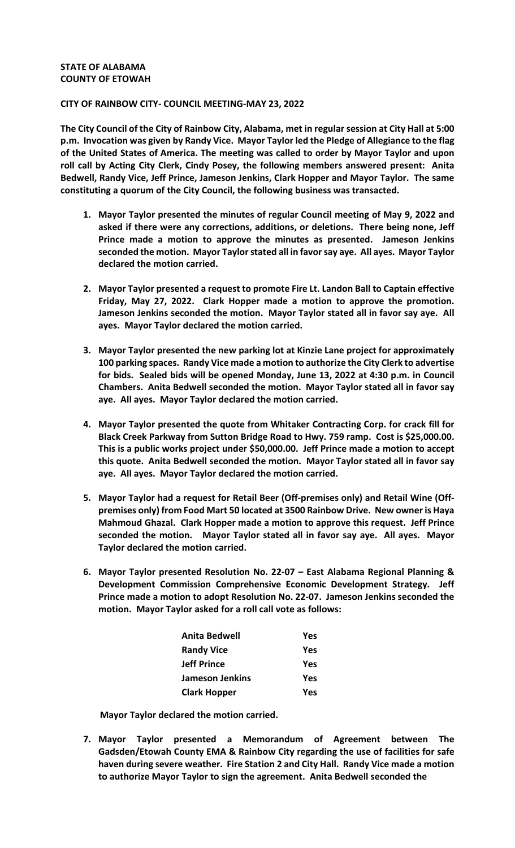## **STATE OF ALABAMA COUNTY OF ETOWAH**

## **CITY OF RAINBOW CITY- COUNCIL MEETING-MAY 23, 2022**

**The City Council of the City of Rainbow City, Alabama, met in regular session at City Hall at 5:00 p.m. Invocation was given by Randy Vice. Mayor Taylor led the Pledge of Allegiance to the flag of the United States of America. The meeting was called to order by Mayor Taylor and upon roll call by Acting City Clerk, Cindy Posey, the following members answered present: Anita Bedwell, Randy Vice, Jeff Prince, Jameson Jenkins, Clark Hopper and Mayor Taylor. The same constituting a quorum of the City Council, the following business was transacted.** 

- **1. Mayor Taylor presented the minutes of regular Council meeting of May 9, 2022 and asked if there were any corrections, additions, or deletions. There being none, Jeff Prince made a motion to approve the minutes as presented. Jameson Jenkins seconded the motion. Mayor Taylor stated all in favor say aye. All ayes. Mayor Taylor declared the motion carried.**
- **2. Mayor Taylor presented a request to promote Fire Lt. Landon Ball to Captain effective Friday, May 27, 2022. Clark Hopper made a motion to approve the promotion. Jameson Jenkins seconded the motion. Mayor Taylor stated all in favor say aye. All ayes. Mayor Taylor declared the motion carried.**
- **3. Mayor Taylor presented the new parking lot at Kinzie Lane project for approximately 100 parking spaces. Randy Vice made a motion to authorize the City Clerk to advertise for bids. Sealed bids will be opened Monday, June 13, 2022 at 4:30 p.m. in Council Chambers. Anita Bedwell seconded the motion. Mayor Taylor stated all in favor say aye. All ayes. Mayor Taylor declared the motion carried.**
- **4. Mayor Taylor presented the quote from Whitaker Contracting Corp. for crack fill for Black Creek Parkway from Sutton Bridge Road to Hwy. 759 ramp. Cost is \$25,000.00. This is a public works project under \$50,000.00. Jeff Prince made a motion to accept this quote. Anita Bedwell seconded the motion. Mayor Taylor stated all in favor say aye. All ayes. Mayor Taylor declared the motion carried.**
- **5. Mayor Taylor had a request for Retail Beer (Off-premises only) and Retail Wine (Offpremises only) from Food Mart 50 located at 3500 Rainbow Drive. New owner is Haya Mahmoud Ghazal. Clark Hopper made a motion to approve this request. Jeff Prince seconded the motion. Mayor Taylor stated all in favor say aye. All ayes. Mayor Taylor declared the motion carried.**
- **6. Mayor Taylor presented Resolution No. 22-07 – East Alabama Regional Planning & Development Commission Comprehensive Economic Development Strategy. Jeff Prince made a motion to adopt Resolution No. 22-07. Jameson Jenkins seconded the motion. Mayor Taylor asked for a roll call vote as follows:**

| <b>Anita Bedwell</b> | Yes |
|----------------------|-----|
| <b>Randy Vice</b>    | Yes |
| <b>Jeff Prince</b>   | Yes |
| Jameson Jenkins      | Yes |
| <b>Clark Hopper</b>  | Yes |

 **Mayor Taylor declared the motion carried.**

**7. Mayor Taylor presented a Memorandum of Agreement between The Gadsden/Etowah County EMA & Rainbow City regarding the use of facilities for safe haven during severe weather. Fire Station 2 and City Hall. Randy Vice made a motion to authorize Mayor Taylor to sign the agreement. Anita Bedwell seconded the**